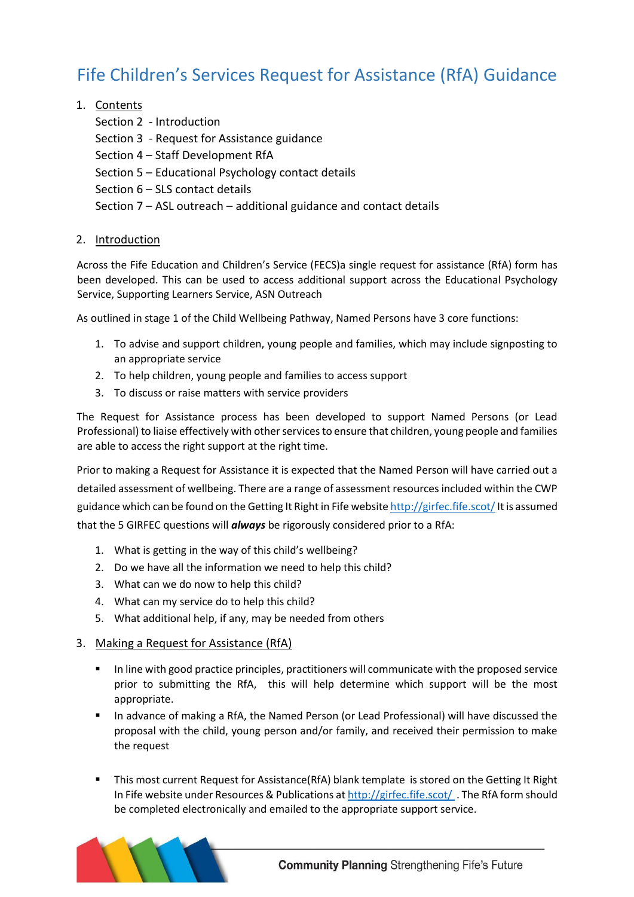# Fife Children's Services Request for Assistance (RfA) Guidance

# 1. Contents

- Section 2 Introduction
- Section 3 Request for Assistance guidance
- Section 4 Staff Development RfA
- Section 5 Educational Psychology contact details
- Section 6 SLS contact details

Section 7 – ASL outreach – additional guidance and contact details

# 2. Introduction

Across the Fife Education and Children's Service (FECS)a single request for assistance (RfA) form has been developed. This can be used to access additional support across the Educational Psychology Service, Supporting Learners Service, ASN Outreach

As outlined in stage 1 of the Child Wellbeing Pathway, Named Persons have 3 core functions:

- 1. To advise and support children, young people and families, which may include signposting to an appropriate service
- 2. To help children, young people and families to access support
- 3. To discuss or raise matters with service providers

The Request for Assistance process has been developed to support Named Persons (or Lead Professional) to liaise effectively with other services to ensure that children, young people and families are able to access the right support at the right time.

Prior to making a Request for Assistance it is expected that the Named Person will have carried out a detailed assessment of wellbeing. There are a range of assessment resources included within the CWP guidance which can be found on the Getting It Right in Fife websi[te http://girfec.fife.scot/I](http://girfec.fife.scot/)t is assumed that the 5 GIRFEC questions will *always* be rigorously considered prior to a RfA:

- 1. What is getting in the way of this child's wellbeing?
- 2. Do we have all the information we need to help this child?
- 3. What can we do now to help this child?
- 4. What can my service do to help this child?
- 5. What additional help, if any, may be needed from others

## 3. Making a Request for Assistance (RfA)

- **■** In line with good practice principles, practitioners will communicate with the proposed service prior to submitting the RfA, this will help determine which support will be the most appropriate.
- In advance of making a RfA, the Named Person (or Lead Professional) will have discussed the proposal with the child, young person and/or family, and received their permission to make the request
- **This most current Request for Assistance(RfA) blank template is stored on the Getting It Right** In Fife website under Resources & Publications a[t http://girfec.fife.scot/](http://girfec.fife.scot/) . The RfA form should be completed electronically and emailed to the appropriate support service.

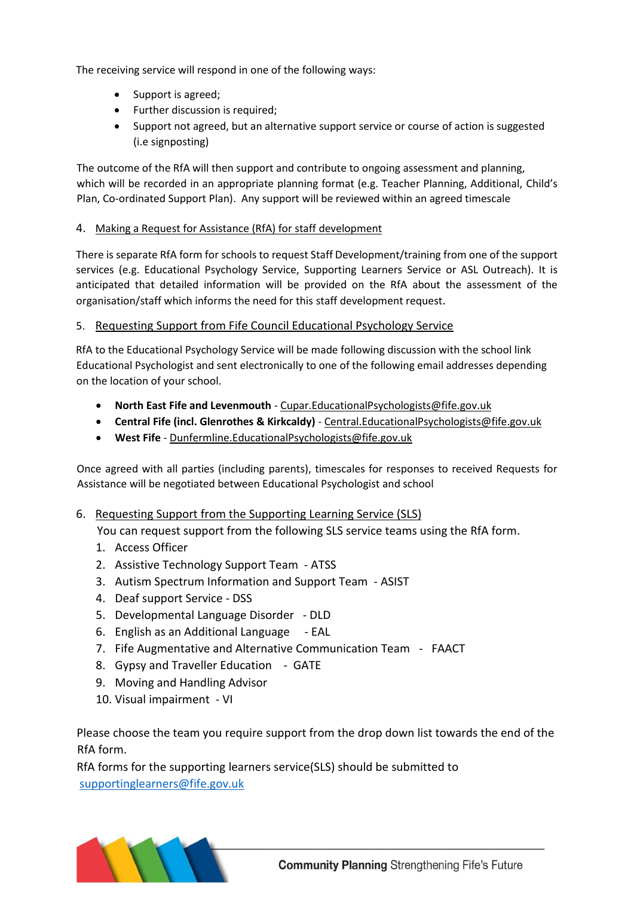The receiving service will respond in one of the following ways:

- Support is agreed;
- Further discussion is required;
- Support not agreed, but an alternative support service or course of action is suggested (i.e signposting)

The outcome of the RfA will then support and contribute to ongoing assessment and planning, which will be recorded in an appropriate planning format (e.g. Teacher Planning, Additional, Child's Plan, Co-ordinated Support Plan). Any support will be reviewed within an agreed timescale

## 4. Making a Request for Assistance (RfA) for staff development

There is separate RfA form for schools to request Staff Development/training from one of the support services (e.g. Educational Psychology Service, Supporting Learners Service or ASL Outreach). It is anticipated that detailed information will be provided on the RfA about the assessment of the organisation/staff which informs the need for this staff development request.

## 5. Requesting Support from Fife Council Educational Psychology Service

RfA to the Educational Psychology Service will be made following discussion with the school link Educational Psychologist and sent electronically to one of the following email addresses depending on the location of your school.

- **North East Fife and Levenmouth** [Cupar.EducationalPsychologists@fife.gov.uk](https://fcmail.fife/owa/redir.aspx?C=i_HDia_XGq1yJXQkd2_xPXo_HvWj7NCiJZrtBq9gX25Wzwkv_gjWCA..&URL=mailto%3aCupar.EducationalPsychologists%40fife.gov.uk)
- **Central Fife (incl. Glenrothes & Kirkcaldy)** [Central.EducationalPsychologists@fife.gov.uk](https://fcmail.fife/owa/redir.aspx?C=sXHRuH-1n0AeKGaEcsBBy3p9oz3__VsSzdwvC2nNzj5Wzwkv_gjWCA..&URL=mailto%3aCentral.EducationalPsychologists%40fife.gov.uk)
- **West Fife** [Dunfermline.EducationalPsychologists@fife.gov.uk](https://fcmail.fife/owa/redir.aspx?C=y4idCoBh1_PoultihrXX_2Efn7g4J17a9eH9i8IqHLdWzwkv_gjWCA..&URL=mailto%3aDunfermline.EducationalPsychologists%40fife.gov.uk)

Once agreed with all parties (including parents), timescales for responses to received Requests for Assistance will be negotiated between Educational Psychologist and school

## 6. Requesting Support from the Supporting Learning Service (SLS)

You can request support from the following SLS service teams using the RfA form.

- 1. Access Officer
- 2. Assistive Technology Support Team ATSS
- 3. Autism Spectrum Information and Support Team ASIST
- 4. Deaf support Service DSS
- 5. Developmental Language Disorder DLD
- 6. English as an Additional Language EAL
- 7. Fife Augmentative and Alternative Communication Team FAACT
- 8. Gypsy and Traveller Education GATE
- 9. Moving and Handling Advisor
- 10. Visual impairment VI

Please choose the team you require support from the drop down list towards the end of the RfA form.

RfA forms for the supporting learners service(SLS) should be submitted to [supportinglearners@fife.gov.uk](mailto:supportinglearners@fife.gov.uk)